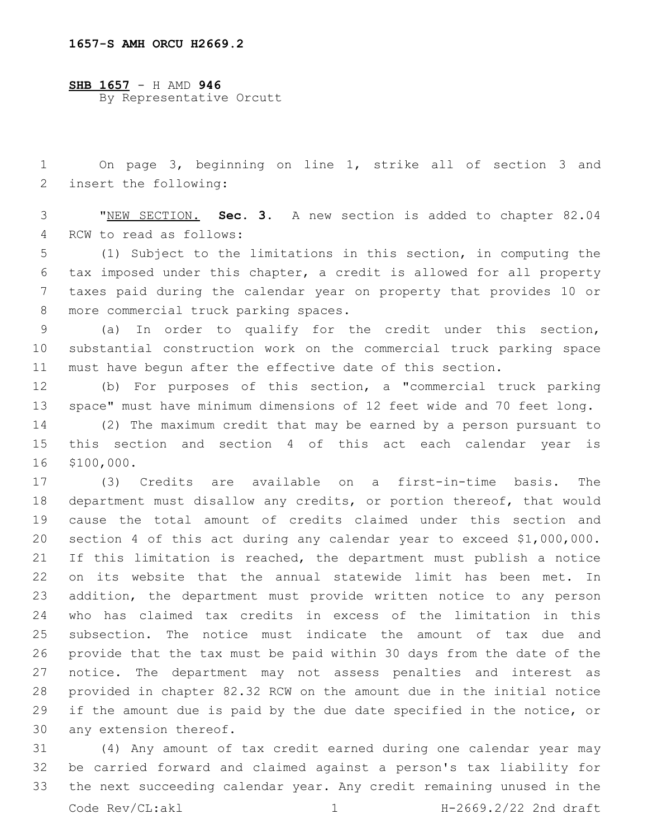**SHB 1657** - H AMD **946** By Representative Orcutt

 On page 3, beginning on line 1, strike all of section 3 and 2 insert the following:

 "NEW SECTION. **Sec. 3.** A new section is added to chapter 82.04 4 RCW to read as follows:

 (1) Subject to the limitations in this section, in computing the tax imposed under this chapter, a credit is allowed for all property taxes paid during the calendar year on property that provides 10 or 8 more commercial truck parking spaces.

 (a) In order to qualify for the credit under this section, substantial construction work on the commercial truck parking space must have begun after the effective date of this section.

 (b) For purposes of this section, a "commercial truck parking space" must have minimum dimensions of 12 feet wide and 70 feet long.

 (2) The maximum credit that may be earned by a person pursuant to this section and section 4 of this act each calendar year is 16 \$100,000.

 (3) Credits are available on a first-in-time basis. The department must disallow any credits, or portion thereof, that would cause the total amount of credits claimed under this section and section 4 of this act during any calendar year to exceed \$1,000,000. If this limitation is reached, the department must publish a notice on its website that the annual statewide limit has been met. In addition, the department must provide written notice to any person who has claimed tax credits in excess of the limitation in this subsection. The notice must indicate the amount of tax due and provide that the tax must be paid within 30 days from the date of the notice. The department may not assess penalties and interest as provided in chapter 82.32 RCW on the amount due in the initial notice if the amount due is paid by the due date specified in the notice, or 30 any extension thereof.

 (4) Any amount of tax credit earned during one calendar year may be carried forward and claimed against a person's tax liability for the next succeeding calendar year. Any credit remaining unused in the Code Rev/CL:akl 1 1 H-2669.2/22 2nd draft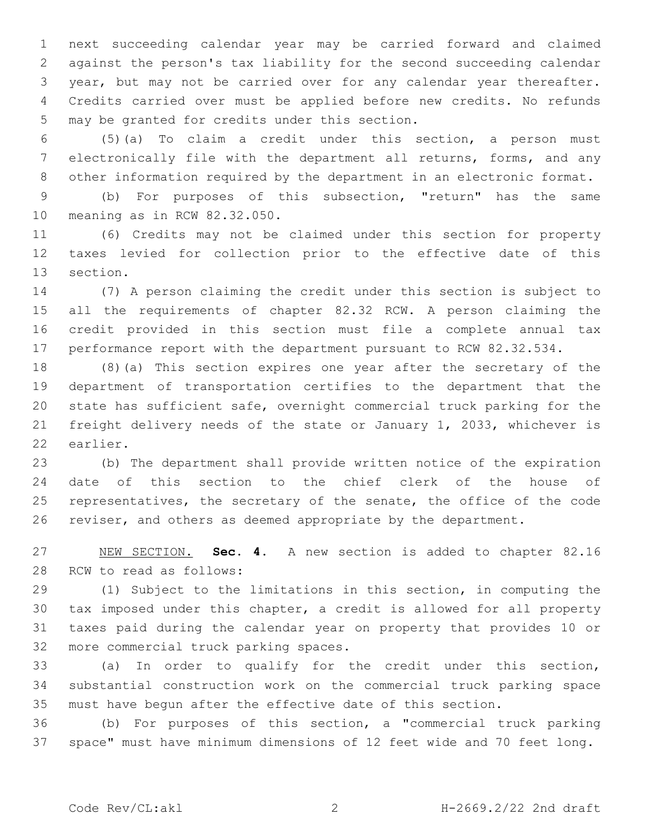next succeeding calendar year may be carried forward and claimed against the person's tax liability for the second succeeding calendar year, but may not be carried over for any calendar year thereafter. Credits carried over must be applied before new credits. No refunds 5 may be granted for credits under this section.

 (5)(a) To claim a credit under this section, a person must electronically file with the department all returns, forms, and any other information required by the department in an electronic format.

 (b) For purposes of this subsection, "return" has the same 10 meaning as in RCW 82.32.050.

 (6) Credits may not be claimed under this section for property taxes levied for collection prior to the effective date of this 13 section.

 (7) A person claiming the credit under this section is subject to all the requirements of chapter 82.32 RCW. A person claiming the credit provided in this section must file a complete annual tax 17 performance report with the department pursuant to RCW 82.32.534.

 (8)(a) This section expires one year after the secretary of the department of transportation certifies to the department that the state has sufficient safe, overnight commercial truck parking for the freight delivery needs of the state or January 1, 2033, whichever is 22 earlier.

 (b) The department shall provide written notice of the expiration date of this section to the chief clerk of the house of 25 representatives, the secretary of the senate, the office of the code reviser, and others as deemed appropriate by the department.

 NEW SECTION. **Sec. 4.** A new section is added to chapter 82.16 28 RCW to read as follows:

 (1) Subject to the limitations in this section, in computing the tax imposed under this chapter, a credit is allowed for all property taxes paid during the calendar year on property that provides 10 or 32 more commercial truck parking spaces.

 (a) In order to qualify for the credit under this section, substantial construction work on the commercial truck parking space must have begun after the effective date of this section.

 (b) For purposes of this section, a "commercial truck parking space" must have minimum dimensions of 12 feet wide and 70 feet long.

Code Rev/CL:akl 2 H-2669.2/22 2nd draft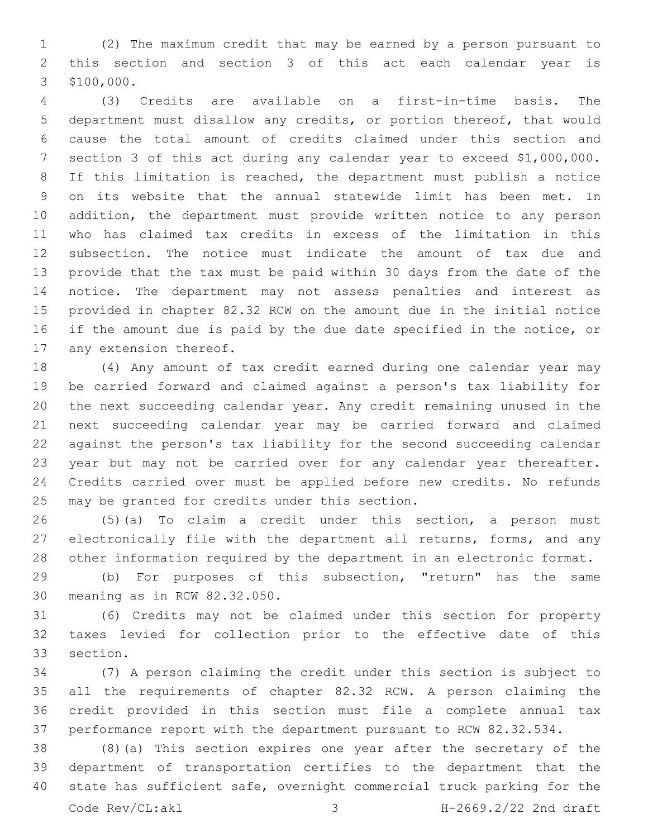(2) The maximum credit that may be earned by a person pursuant to this section and section 3 of this act each calendar year is 3 \$100,000.

 (3) Credits are available on a first-in-time basis. The department must disallow any credits, or portion thereof, that would cause the total amount of credits claimed under this section and section 3 of this act during any calendar year to exceed \$1,000,000. If this limitation is reached, the department must publish a notice on its website that the annual statewide limit has been met. In addition, the department must provide written notice to any person who has claimed tax credits in excess of the limitation in this subsection. The notice must indicate the amount of tax due and provide that the tax must be paid within 30 days from the date of the notice. The department may not assess penalties and interest as provided in chapter 82.32 RCW on the amount due in the initial notice if the amount due is paid by the due date specified in the notice, or 17 any extension thereof.

 (4) Any amount of tax credit earned during one calendar year may be carried forward and claimed against a person's tax liability for the next succeeding calendar year. Any credit remaining unused in the next succeeding calendar year may be carried forward and claimed against the person's tax liability for the second succeeding calendar year but may not be carried over for any calendar year thereafter. Credits carried over must be applied before new credits. No refunds 25 may be granted for credits under this section.

 (5)(a) To claim a credit under this section, a person must electronically file with the department all returns, forms, and any other information required by the department in an electronic format.

 (b) For purposes of this subsection, "return" has the same 30 meaning as in RCW 82.32.050.

 (6) Credits may not be claimed under this section for property taxes levied for collection prior to the effective date of this 33 section.

 (7) A person claiming the credit under this section is subject to all the requirements of chapter 82.32 RCW. A person claiming the credit provided in this section must file a complete annual tax performance report with the department pursuant to RCW 82.32.534.

 (8)(a) This section expires one year after the secretary of the department of transportation certifies to the department that the state has sufficient safe, overnight commercial truck parking for the Code Rev/CL:akl 3 H-2669.2/22 2nd draft